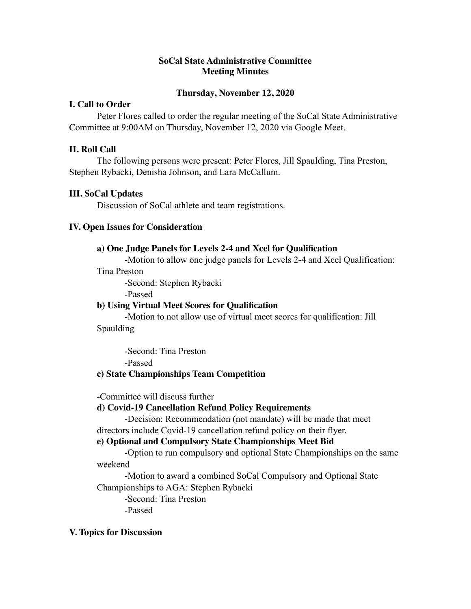# **SoCal State Administrative Committee Meeting Minutes**

## **Thursday, November 12, 2020**

# **I. Call to Order**

Peter Flores called to order the regular meeting of the SoCal State Administrative Committee at 9:00AM on Thursday, November 12, 2020 via Google Meet.

# **II. Roll Call**

The following persons were present: Peter Flores, Jill Spaulding, Tina Preston, Stephen Rybacki, Denisha Johnson, and Lara McCallum.

#### **III. SoCal Updates**

Discussion of SoCal athlete and team registrations.

#### **IV. Open Issues for Consideration**

#### **a) One Judge Panels for Levels 2-4 and Xcel for Qualification**

-Motion to allow one judge panels for Levels 2-4 and Xcel Qualification:

#### Tina Preston

-Second: Stephen Rybacki

-Passed

#### **b) Using Virtual Meet Scores for Qualification**

-Motion to not allow use of virtual meet scores for qualification: Jill Spaulding

-Second: Tina Preston -Passed

# **c) State Championships Team Competition**

-Committee will discuss further

# **d) Covid-19 Cancellation Refund Policy Requirements**

-Decision: Recommendation (not mandate) will be made that meet directors include Covid-19 cancellation refund policy on their flyer.

#### **e) Optional and Compulsory State Championships Meet Bid**

-Option to run compulsory and optional State Championships on the same weekend

-Motion to award a combined SoCal Compulsory and Optional State Championships to AGA: Stephen Rybacki

-Second: Tina Preston -Passed

# **V. Topics for Discussion**